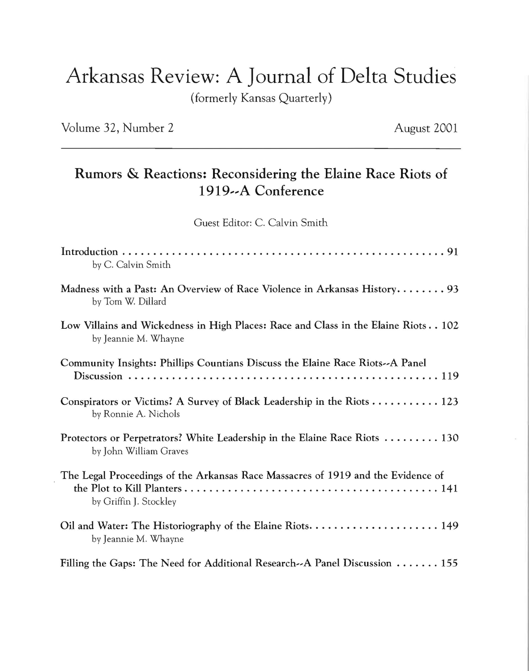## Arkansas Review: A Journal of Delta Studies

(formerly Kansas Quarterly)

Volume 32, Number 2 August 2001

## Rumors & Reactions: Reconsidering the Elaine Race Riots of 1919--A Conference

Guest Editor: C. Calvin Smith

| by C. Calvin Smith                                                                                                       |
|--------------------------------------------------------------------------------------------------------------------------|
| Madness with a Past: An Overview of Race Violence in Arkansas History 93<br>by Tom W. Dillard                            |
| Low Villains and Wickedness in High Places: Race and Class in the Elaine Riots 102<br>by Jeannie M. Whayne               |
| Community Insights: Phillips Countians Discuss the Elaine Race Riots--A Panel                                            |
| Conspirators or Victims? A Survey of Black Leadership in the Riots $\dots \dots \dots \dots 123$<br>by Ronnie A. Nichols |
| Protectors or Perpetrators? White Leadership in the Elaine Race Riots  130<br>by John William Graves                     |
| The Legal Proceedings of the Arkansas Race Massacres of 1919 and the Evidence of<br>by Griffin J. Stockley               |
| by Jeannie M. Whayne                                                                                                     |
| Filling the Gaps: The Need for Additional Research-A Panel Discussion $\ldots \ldots$ 155                                |